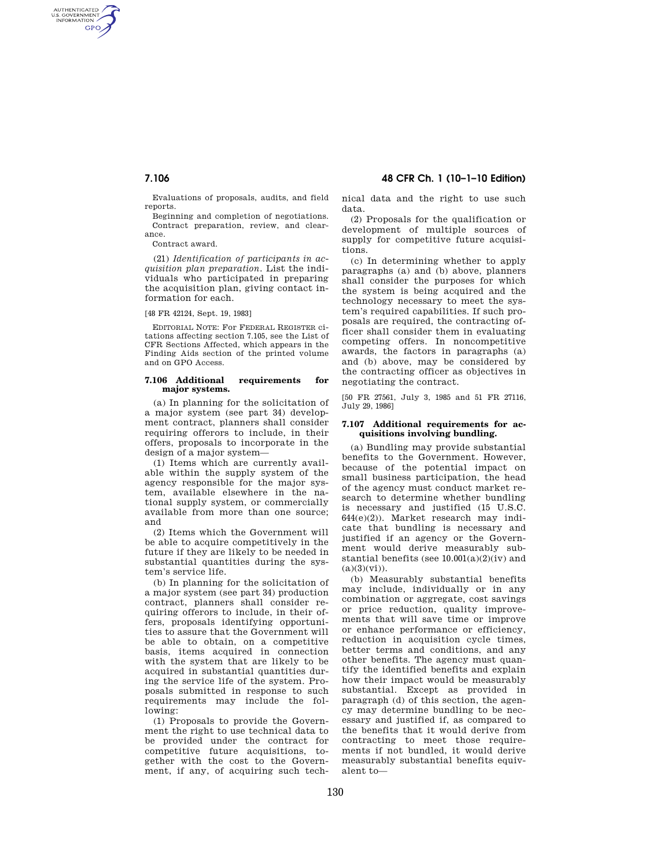AUTHENTICATED<br>U.S. GOVERNMENT<br>INFORMATION **GPO** 

> Evaluations of proposals, audits, and field reports.

> Beginning and completion of negotiations. Contract preparation, review, and clearance.

Contract award.

(21) *Identification of participants in acquisition plan preparation.* List the individuals who participated in preparing the acquisition plan, giving contact information for each.

## [48 FR 42124, Sept. 19, 1983]

EDITORIAL NOTE: For FEDERAL REGISTER citations affecting section 7.105, see the List of CFR Sections Affected, which appears in the Finding Aids section of the printed volume and on GPO Access.

#### **7.106 Additional requirements for major systems.**

(a) In planning for the solicitation of a major system (see part 34) development contract, planners shall consider requiring offerors to include, in their offers, proposals to incorporate in the design of a major system—

(1) Items which are currently available within the supply system of the agency responsible for the major system, available elsewhere in the national supply system, or commercially available from more than one source; and

(2) Items which the Government will be able to acquire competitively in the future if they are likely to be needed in substantial quantities during the system's service life.

(b) In planning for the solicitation of a major system (see part 34) production contract, planners shall consider requiring offerors to include, in their offers, proposals identifying opportunities to assure that the Government will be able to obtain, on a competitive basis, items acquired in connection with the system that are likely to be acquired in substantial quantities during the service life of the system. Proposals submitted in response to such requirements may include the following:

(1) Proposals to provide the Government the right to use technical data to be provided under the contract for competitive future acquisitions, together with the cost to the Government, if any, of acquiring such tech-

**7.106 48 CFR Ch. 1 (10–1–10 Edition)** 

nical data and the right to use such data.

(2) Proposals for the qualification or development of multiple sources of supply for competitive future acquisitions.

(c) In determining whether to apply paragraphs (a) and (b) above, planners shall consider the purposes for which the system is being acquired and the technology necessary to meet the system's required capabilities. If such proposals are required, the contracting officer shall consider them in evaluating competing offers. In noncompetitive awards, the factors in paragraphs (a) and (b) above, may be considered by the contracting officer as objectives in negotiating the contract.

[50 FR 27561, July 3, 1985 and 51 FR 27116, July 29, 1986]

### **7.107 Additional requirements for acquisitions involving bundling.**

(a) Bundling may provide substantial benefits to the Government. However, because of the potential impact on small business participation, the head of the agency must conduct market research to determine whether bundling is necessary and justified (15 U.S.C. 644(e)(2)). Market research may indicate that bundling is necessary and justified if an agency or the Government would derive measurably substantial benefits (see  $10.001(a)(2)(iv)$  and  $(a)(3)(vi)$ .

(b) Measurably substantial benefits may include, individually or in any combination or aggregate, cost savings or price reduction, quality improvements that will save time or improve or enhance performance or efficiency, reduction in acquisition cycle times, better terms and conditions, and any other benefits. The agency must quantify the identified benefits and explain how their impact would be measurably substantial. Except as provided in paragraph (d) of this section, the agency may determine bundling to be necessary and justified if, as compared to the benefits that it would derive from contracting to meet those requirements if not bundled, it would derive measurably substantial benefits equivalent to—